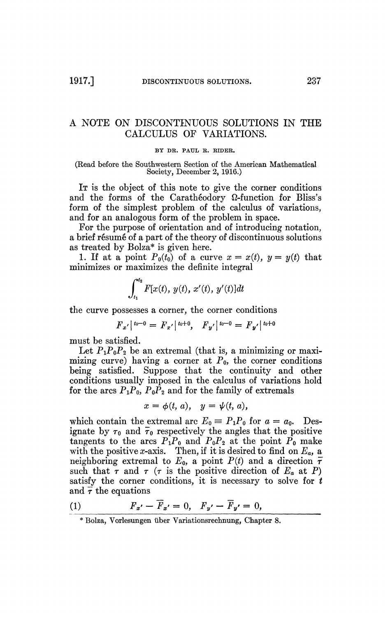## A NOTE ON DISCONTINUOUS SOLUTIONS IN THE CALCULUS OF VARIATIONS.

## BY DR. PAUL B. RIDER.

## (Read before the Southwestern Section of the American Mathematical Society, December 2, 1916.)

IT is the object of this note to give the corner conditions and the forms of the Carathéodory Q-function for Bliss's form of the simplest problem of the calculus of variations, and for an analogous form of the problem in space.

For the purpose of orientation and of introducing notation, a brief résumé of a part of the theory of discontinuous solutions as treated by Bolza\* is given here.

1. If at a point  $P_0(t_0)$  of a curve  $x = x(t)$ ,  $y = y(t)$  that minimizes or maximizes the definite integral

$$
\int_{t_1}^{t_2} F[x(t), y(t), x'(t), y'(t)]dt
$$

the curve possesses a corner, the corner conditions

$$
F_{x'}|^{t_0-0} = F_{x'}|^{t_0+0}, F_{y'}|^{t_0-0} = F_{y'}|^{t_0+0}
$$

must be satisfied.

Let  $P_1P_0P_2$  be an extremal (that is, a minimizing or maximizing curve) having a corner at  $P_0$ , the corner conditions being satisfied. Suppose that the continuity and other conditions usually imposed in the calculus of variations hold for the arcs  $P_1P_0$ ,  $P_0P_2$  and for the family of extremals

$$
x = \phi(t, a), \quad y = \psi(t, a),
$$

which contain the extremal arc  $E_0 \equiv P_1 P_0$  for  $a = a_0$ . Designate by  $\tau_0$  and  $\bar{\tau}_0$  respectively the angles that the positive tangents to the arcs  $P_1P_0$  and  $P_0P_2$  at the point  $P_0$  make with the positive *x*-axis. Then, if it is desired to find on  $E_a$ , a neighboring extremal to  $E_0$ , a point  $P(t)$  and a direction  $\bar{\tau}$ such that  $\tau$  and  $\tau$  ( $\tau$  is the positive direction of  $E_a$  at P) satisfy the corner conditions, it is necessary to solve for *t*  and  $\bar{\tau}$  the equations

$$
(1) \tF_{x'} - \overline{F}_{x'} = 0, \quad F_{y'} - \overline{F}_{y'} = 0,
$$

<sup>\*</sup> Bolza, Vorlesungen über Variationsrechnung, Chapter 8.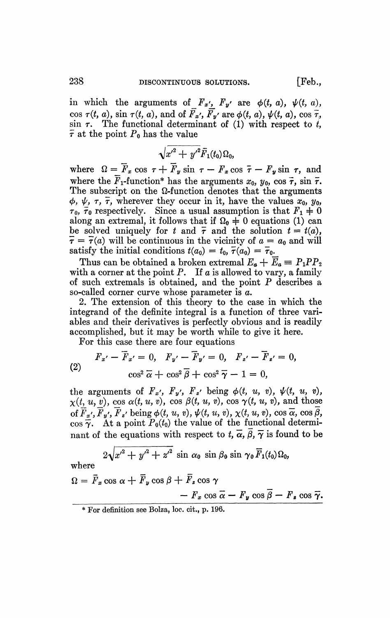in which the arguments of  $F_x$ *'*,  $F_y$ <sup>*'*</sup> are  $\phi(t, a)$ ,  $\psi(t, a)$ , cos  $\tau(t, a)$ , sin  $\tau(t, a)$ , and of  $\overline{F}_{x}$ <sup>'</sup>,  $\overline{F}_{y}$ <sup>'</sup> are  $\phi(t, a)$ ,  $\psi(t, a)$ , cos  $\overline{\tau}$ ,  $\sin \tau$ . The functional determinant of (1) with respect to  $\tilde{t}$ ,  $\bar{\tau}$  at the point  $P_0$  has the value

$$
\sqrt{{x'}^2+{y'}^2}{\bar F}_1(t_0)\Omega_0,
$$

where  $\Omega = \overline{F}_x \cos \tau + \overline{F}_y \sin \tau - F_x \cos \overline{\tau} - F_y \sin \tau$ , and where the  $\overline{F}_1$ -function\* has the arguments  $x_0$ ,  $y_0$ ,  $\cos \overline{\tau}$ ,  $\sin \overline{\tau}$ . The subscript on the  $\Omega$ -function denotes that the arguments  $\phi$ ,  $\psi$ ,  $\tau$ ,  $\bar{\tau}$ , wherever they occur in it, have the values  $x_0$ ,  $y_0$ ,  $\tau_0$ ,  $\tau_0$  respectively. Since a usual assumption is that  $F_1 \neq 0$ along an extremal, it follows that if  $\Omega_0 \doteq 0$  equations (1) can be solved uniquely for *t* and  $\bar{\tau}$  and the solution  $t = t(a)$ ,  $\bar{\tau} = \bar{\tau}(a)$  will be continuous in the vicinity of  $a = a_0$  and will satisfy the initial conditions  $t(a_0) = t_0$ ,  $\overline{\tau}(a_0) = \overline{\tau}_0$ .

Thus can be obtained a broken extremal  $E_a + E_a \equiv P_1 P P_2$ with a corner at the point  $P$ . If  $a$  is allowed to vary, a family of such extremals is obtained, and the point P describes a so-called corner curve whose parameter is *a.* 

2. The extension of this theory to the case in which the integrand of the definite integral is a function of three variables and their derivatives is perfectly obvious and is readily accomplished, but it may be worth while to give it here.

For this case there are four equations

(2) 
$$
F_{x'} - \overline{F}_{x'} = 0, \quad F_{y'} - \overline{F}_{y'} = 0, \quad F_{z'} - \overline{F}_{z'} = 0,
$$

$$
\cos^2 \overline{\alpha} + \cos^2 \overline{\beta} + \cos^2 \overline{\gamma} - 1 = 0,
$$

the arguments of  $F_x$ ',  $F_y$ ',  $F_z$ ' being  $\phi(t, u, v)$ ,  $\psi(t, u, v)$ ,  $\chi(t, u, v)$ , cos  $\alpha(t, u, v)$ , cos  $\beta(t, u, v)$ , cos  $\gamma(t, u, v)$ , and those of  $\overline{F}_{x'}, \overline{F}_{y'}, \overline{F}_{z'}$  being  $\phi(t, u, v), \psi(t, u, v), \chi(t, u, v), \cos \overline{\alpha}, \cos \beta$ ,  $\cos \tilde{\gamma}$ . At a point  $P_0(t_0)$  the value of the functional determinant of the equations with respect to  $t, \overline{\alpha}, \overline{\beta}, \overline{\gamma}$  is found to be

$$
2\sqrt{{x'}^2+{y'}^2+{z'}^2}\sin\alpha_0\sin\beta_0\sin\gamma_0\,\overline{F}_1(t_0)\Omega_0,
$$
  
where  

$$
\Omega=\overline{F}_x\cos\alpha+\overline{F}_y\cos\beta+\overline{F}_z\cos\gamma
$$

$$
- F_x \cos \overline{\alpha} - F_y \cos \overline{\beta} - F_z \cos \overline{\gamma}.
$$

<sup>\*</sup> For definition see Bolza, loc. cit., p. 196.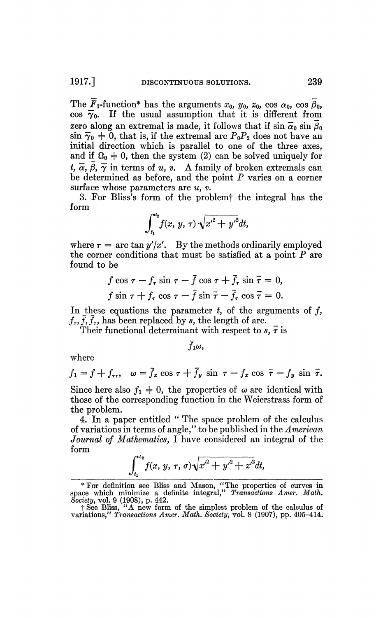The  $\overline{F}_1$ -function\* has the arguments  $x_0$ ,  $y_0$ ,  $z_0$ ,  $\cos \alpha_0$ ,  $\cos \beta_0$ , cos  $\overline{\gamma}_0$ . If the usual assumption that it is different from zero along an extremal is made, it follows that if  $\sin \overline{\alpha}_0 \sin \beta_0$  $\sin \overline{\gamma}_0$   $\neq$  0, that is, if the extremal arc  $P_0P_2$  does not have an initial direction which is parallel to one of the three axes, and if  $\Omega_0 \neq 0$ , then the system (2) can be solved uniquely for  $t, \overline{\alpha}, \overline{\beta}, \overline{\gamma}$  in terms of *u, v.* A family of broken extremals can be determined as before, and the point *P* varies on a corner surface whose parameters are *u, v.* 

3. For Bliss's form of the problemf the integral has the form

$$
\int_{t_1}^{t_2} f(x, y, \tau) \sqrt{x'^2 + y'^2} dt,
$$

where  $\tau = \arctan y'/x'$ . By the methods ordinarily employed the corner conditions that must be satisfied at a point *P* are found to be

$$
f \cos \tau - f_{\tau} \sin \tau - \bar{f} \cos \tau + \bar{f}_{\tau} \sin \bar{\tau} = 0,
$$
  

$$
f \sin \tau + f_{\tau} \cos \tau - \bar{f} \sin \bar{\tau} - \bar{f}_{\tau} \cos \bar{\tau} = 0.
$$

In these equations the parameter *t,* of the arguments of ƒ,  $f_{\tau}$ ,  $\bar{f}_{\tau}$ , has been replaced by *s*, the length of arc.

Their functional determinant with respect to  $s, \bar{\tau}$  is

 $\bar{f}_1\omega$ ,

where

$$
f_1 = f + f_{\tau\tau}, \quad \omega = \bar{f}_x \cos \tau + \bar{f}_y \sin \tau - f_x \cos \bar{\tau} - f_y \sin \bar{\tau}.
$$

Since here also  $f_1 \neq 0$ , the properties of  $\omega$  are identical with those of the corresponding function in the Weierstrass form of the problem.

4. In a paper entitled " The space problem of the calculus of variations in terms of angle," to be published in the *American Journal of Mathematics,* I have considered an integral of the form

$$
\int_{t_1}^{t_2} f(x, y, \tau, \sigma) \sqrt{x'^2 + y'^2 + z'^2} dt,
$$

<sup>\*</sup>For definition see Bliss and Mason, "The properties of curves in space which minimize a definite integral," *Transactions Amer. Math. Society,* vol. 9 (1908), p. 442.

fSee Bliss, "A new form of the simplest problem of the calculus of variations," *Transactions Amer. Math. Society,* vol. 8 (1907), pp. 405-414.